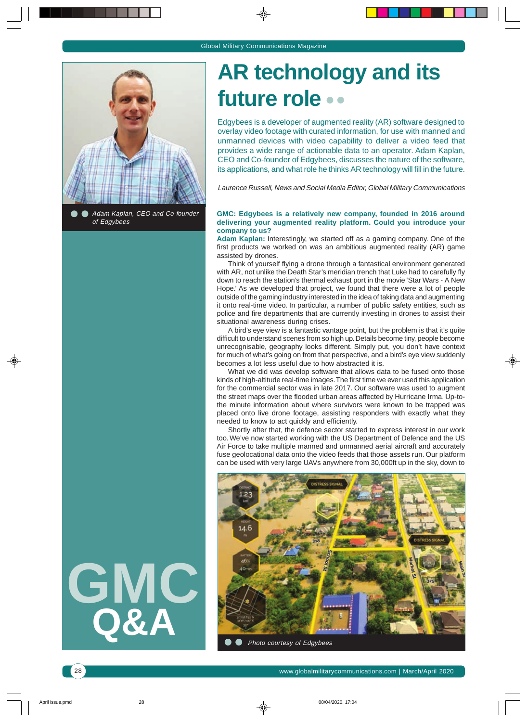

Adam Kaplan, CEO and Co-founder of Edgybees

# **GMC Q&A**

**AR technology and its future role**

Edgybees is a developer of augmented reality (AR) software designed to overlay video footage with curated information, for use with manned and unmanned devices with video capability to deliver a video feed that provides a wide range of actionable data to an operator. Adam Kaplan, CEO and Co-founder of Edgybees, discusses the nature of the software, its applications, and what role he thinks AR technology will fill in the future.

Laurence Russell, News and Social Media Editor, Global Military Communications

### **GMC: Edgybees is a relatively new company, founded in 2016 around delivering your augmented reality platform. Could you introduce your company to us?**

**Adam Kaplan:** Interestingly, we started off as a gaming company. One of the first products we worked on was an ambitious augmented reality (AR) game assisted by drones.

Think of yourself flying a drone through a fantastical environment generated with AR, not unlike the Death Star's meridian trench that Luke had to carefully fly down to reach the station's thermal exhaust port in the movie 'Star Wars - A New Hope.' As we developed that project, we found that there were a lot of people outside of the gaming industry interested in the idea of taking data and augmenting it onto real-time video. In particular, a number of public safety entities, such as police and fire departments that are currently investing in drones to assist their situational awareness during crises.

A bird's eye view is a fantastic vantage point, but the problem is that it's quite difficult to understand scenes from so high up. Details become tiny, people become unrecognisable, geography looks different. Simply put, you don't have context for much of what's going on from that perspective, and a bird's eye view suddenly becomes a lot less useful due to how abstracted it is.

What we did was develop software that allows data to be fused onto those kinds of high-altitude real-time images. The first time we ever used this application for the commercial sector was in late 2017. Our software was used to augment the street maps over the flooded urban areas affected by Hurricane Irma. Up-tothe minute information about where survivors were known to be trapped was placed onto live drone footage, assisting responders with exactly what they needed to know to act quickly and efficiently.

Shortly after that, the defence sector started to express interest in our work too. We've now started working with the US Department of Defence and the US Air Force to take multiple manned and unmanned aerial aircraft and accurately fuse geolocational data onto the video feeds that those assets run. Our platform can be used with very large UAVs anywhere from 30,000ft up in the sky, down to